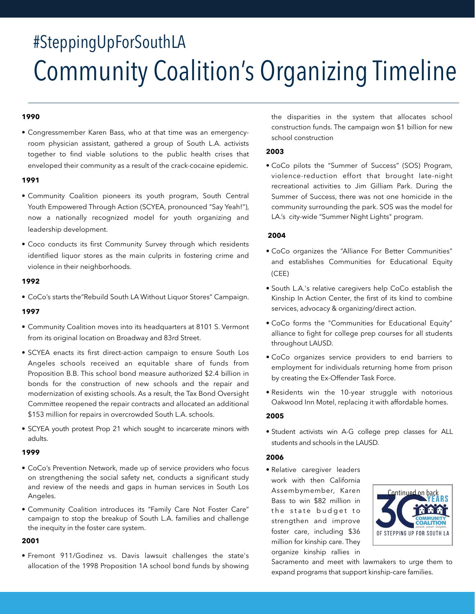# #SteppingUpForSouthLA Community Coalition's Organizing Timeline

#### 1990

• Congressmember Karen Bass, who at that time was an emergencyroom physician assistant, gathered a group of South L.A. activists together to find viable solutions to the public health crises that enveloped their community as a result of the crack-cocaine epidemic.

#### 1991

- Community Coalition pioneers its youth program, South Central Youth Empowered Through Action (SCYEA, pronounced "Say Yeah!"), now a nationally recognized model for youth organizing and leadership development.
- Coco conducts its first Community Survey through which residents identified liquor stores as the main culprits in fostering crime and violence in their neighborhoods.

#### 1992

• CoCo's starts the"Rebuild South LA Without Liquor Stores" Campaign.

#### 1997

- Community Coalition moves into its headquarters at 8101 S. Vermont from its original location on Broadway and 83rd Street.
- SCYEA enacts its first direct-action campaign to ensure South Los Angeles schools received an equitable share of funds from Proposition B.B. This school bond measure authorized \$2.4 billion in bonds for the construction of new schools and the repair and modernization of existing schools. As a result, the Tax Bond Oversight Committee reopened the repair contracts and allocated an additional \$153 million for repairs in overcrowded South L.A. schools.
- SCYEA youth protest Prop 21 which sought to incarcerate minors with adults.

#### 1999

- CoCo's Prevention Network, made up of service providers who focus on strengthening the social safety net, conducts a significant study and review of the needs and gaps in human services in South Los Angeles.
- Community Coalition introduces its "Family Care Not Foster Care" campaign to stop the breakup of South L.A. families and challenge the inequity in the foster care system.

### 2001

• Fremont 911/Godinez vs. Davis lawsuit challenges the state's allocation of the 1998 Proposition 1A school bond funds by showing

the disparities in the system that allocates school construction funds. The campaign won \$1 billion for new school construction

## 2003

• CoCo pilots the "Summer of Success" (SOS) Program, violence-reduction effort that brought late-night recreational activities to Jim Gilliam Park. During the Summer of Success, there was not one homicide in the community surrounding the park. SOS was the model for LA.'s city-wide "Summer Night Lights" program.

## 2004

- CoCo organizes the "Alliance For Better Communities" and establishes Communities for Educational Equity (CEE)
- South L.A.'s relative caregivers help CoCo establish the Kinship In Action Center, the first of its kind to combine services, advocacy & organizing/direct action.
- CoCo forms the "Communities for Educational Equity" alliance to fight for college prep courses for all students throughout LAUSD.
- CoCo organizes service providers to end barriers to employment for individuals returning home from prison by creating the Ex-Offender Task Force.
- Residents win the 10-year struggle with notorious Oakwood Inn Motel, replacing it with affordable homes.

#### 2005

• Student activists win A-G college prep classes for ALL students and schools in the LAUSD.

#### 2006

• Relative caregiver leaders work with then California Assembymember, Karen Bass to win \$82 million in the state budget to strengthen and improve foster care, including \$36 million for kinship care. They organize kinship rallies in



Sacramento and meet with lawmakers to urge them to expand programs that support kinship-care families.